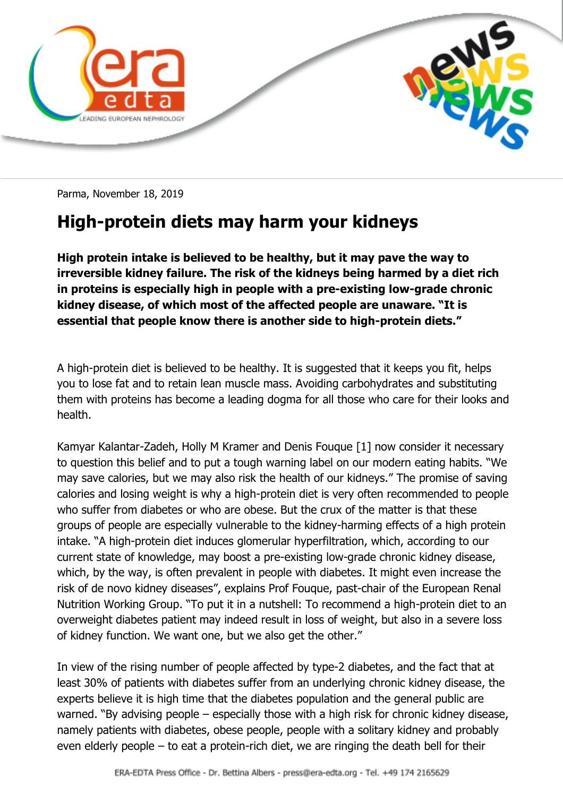

Parma, November 18, 2019

## **High-protein diets may harm your kidneys**

**High protein intake is believed to be healthy, but it may pave the way to irreversible kidney failure. The risk of the kidneys being harmed by a diet rich in proteins is especially high in people with a pre-existing low-grade chronic kidney disease, of which most of the affected people are unaware. "It is essential that people know there is another side to high-protein diets."**

A high-protein diet is believed to be healthy. It is suggested that it keeps you fit, helps you to lose fat and to retain lean muscle mass. Avoiding carbohydrates and substituting them with proteins has become a leading dogma for all those who care for their looks and health.

Kamyar Kalantar-Zadeh, Holly M Kramer and Denis Fouque [1] now consider it necessary to question this belief and to put a tough warning label on our modern eating habits. "We may save calories, but we may also risk the health of our kidneys." The promise of saving calories and losing weight is why a high-protein diet is very often recommended to people who suffer from diabetes or who are obese. But the crux of the matter is that these groups of people are especially vulnerable to the kidney-harming effects of a high protein intake. "A high-protein diet induces glomerular hyperfiltration, which, according to our current state of knowledge, may boost a pre-existing low-grade chronic kidney disease, which, by the way, is often prevalent in people with diabetes. It might even increase the risk of de novo kidney diseases", explains Prof Fouque, past-chair of the European Renal Nutrition Working Group. "To put it in a nutshell: To recommend a high-protein diet to an overweight diabetes patient may indeed result in loss of weight, but also in a severe loss of kidney function. We want one, but we also get the other."

In view of the rising number of people affected by type-2 diabetes, and the fact that at least 30% of patients with diabetes suffer from an underlying chronic kidney disease, the experts believe it is high time that the diabetes population and the general public are warned. "By advising people – especially those with a high risk for chronic kidney disease, namely patients with diabetes, obese people, people with a solitary kidney and probably even elderly people – to eat a protein-rich diet, we are ringing the death bell for their